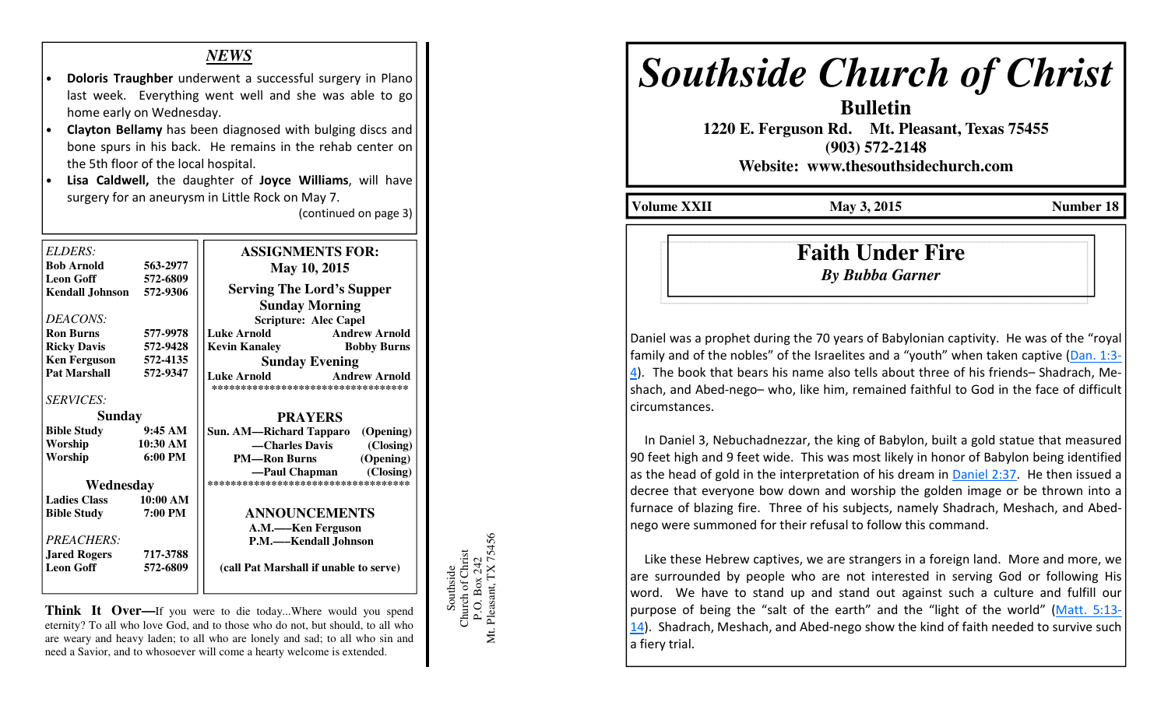### *NEWS*

- Doloris Traughber underwent a successful surgery in Plano last week. Everything went well and she was able to go home early on Wednesday.
- Clayton Bellamy has been diagnosed with bulging discs and bone spurs in his back. He remains in the rehab center on the 5th floor of the local hospital.
- Lisa Caldwell, the daughter of Joyce Williams, will have surgery for an aneurysm in Little Rock on May 7.

(continued on page 3)

| ELDERS:                |                     | <b>ASSIGNMENTS FOR:</b>                                                           |
|------------------------|---------------------|-----------------------------------------------------------------------------------|
| <b>Bob Arnold</b>      | 563-2977            |                                                                                   |
| <b>Leon Goff</b>       | 572-6809            | May 10, 2015                                                                      |
|                        | 572-9306            | <b>Serving The Lord's Supper</b>                                                  |
| <b>Kendall Johnson</b> |                     |                                                                                   |
|                        |                     | <b>Sunday Morning</b>                                                             |
| DEACONS:               |                     | <b>Scripture: Alec Capel</b>                                                      |
| <b>Ron Burns</b>       | 577-9978            | <b>Luke Arnold</b><br><b>Andrew Arnold</b>                                        |
| <b>Ricky Davis</b>     | 572-9428            | <b>Kevin Kanaley</b><br><b>Bobby Burns</b>                                        |
| <b>Ken Ferguson</b>    | 572-4135            | <b>Sunday Evening</b>                                                             |
| <b>Pat Marshall</b>    | 572-9347            | <b>Andrew Arnold</b><br><b>Luke Arnold</b><br>*********************************** |
| <b>SERVICES:</b>       |                     |                                                                                   |
| Sunday                 |                     | <b>PRAYERS</b>                                                                    |
| <b>Bible Study</b>     | 9:45AM              | Sun. AM—Richard Tapparo (Opening)                                                 |
| Worship                | 10:30 AM            | —Charles Davis<br>(Closing)                                                       |
| Worship                | $6:00 \text{ PM}$   | (Opening)<br><b>PM—Ron Burns</b>                                                  |
|                        |                     | (Closing)<br>—Paul Chapman                                                        |
| Wednesday              |                     | ************************************                                              |
| <b>Ladies Class</b>    | $10:00~\mathrm{AM}$ |                                                                                   |
| <b>Bible Study</b>     | 7:00 PM             | <b>ANNOUNCEMENTS</b>                                                              |
|                        |                     | A.M.—Ken Ferguson                                                                 |
| PREACHERS:             |                     | P.M.—Kendall Johnson                                                              |
| <b>Jared Rogers</b>    | 717-3788            |                                                                                   |
| <b>Leon Goff</b>       | 572-6809            | (call Pat Marshall if unable to serve)                                            |
|                        |                     |                                                                                   |

**Think It Over—If** you were to die today...Where would you spend eternity? To all who love God, and to those who do not, but should, to all who are weary and heavy laden; to all who are lonely and sad; to all who sin and need a Savior, and to whosoever will come a hearty welcome is extended.

Mt. Pleasant, TX 75456 5456 Southside<br>Church of Christ<br>P.O. Box 242<br>Mt. Pleasant, TX 7542 Church of Christ P.O. Box 242 Southside

# *Southside Church of Christ*

**Bulletin 1220 E. Ferguson Rd. Mt. Pleasant, Texas 75455 (903) 572-2148** 

**Website: www.thesouthsidechurch.com** 

**Volume XXII** May 3, 2015 **Number 18** 

## **Faith Under Fire***By Bubba Garner*

Daniel was a prophet during the 70 years of Babylonian captivity. He was of the "royal family and of the nobles" of the Israelites and a "youth" when taken captive (Dan. 1:3-4). The book that bears his name also tells about three of his friends– Shadrach, Meshach, and Abed-nego– who, like him, remained faithful to God in the face of difficult circumstances.

 In Daniel 3, Nebuchadnezzar, the king of Babylon, built a gold statue that measured 90 feet high and 9 feet wide. This was most likely in honor of Babylon being identified as the head of gold in the interpretation of his dream in Daniel 2:37. He then issued a decree that everyone bow down and worship the golden image or be thrown into a furnace of blazing fire. Three of his subjects, namely Shadrach, Meshach, and Abednego were summoned for their refusal to follow this command.

 Like these Hebrew captives, we are strangers in a foreign land. More and more, we are surrounded by people who are not interested in serving God or following His word. We have to stand up and stand out against such a culture and fulfill our purpose of being the "salt of the earth" and the "light of the world" (Matt. 5:13-14). Shadrach, Meshach, and Abed-nego show the kind of faith needed to survive such a fiery trial.